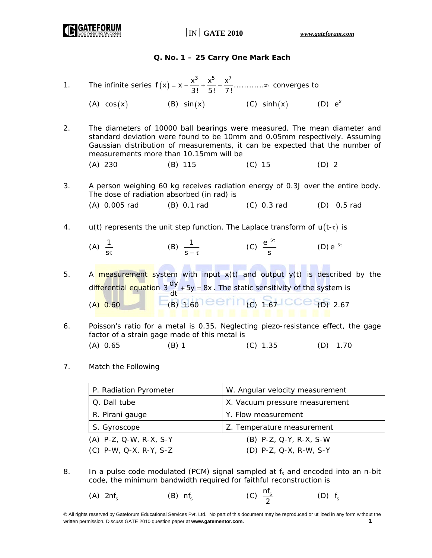### **Q. No. 1 – 25 Carry One Mark Each**

1. The infinite series  $f(x) = x - \frac{x^3}{3!} + \frac{x^5}{5!} - \frac{x^7}{7!} + \cdots + \infty$  converges to

(A)  $cos(x)$  (B)  $sin(x)$  (C)  $sinh(x)$  (D)  $e^{x}$ 

2. The diameters of 10000 ball bearings were measured. The mean diameter and standard deviation were found to be 10mm and 0.05mm respectively. Assuming Gaussian distribution of measurements, it can be expected that the number of measurements more than 10.15mm will be

(A) 230 (B) 115 (C) 15 (D) 2

- 3. A person weighing 60 kg receives radiation energy of 0.3J over the entire body. The dose of radiation absorbed (in rad) is
	- (A) 0.005 rad (B) 0.1 rad (C) 0.3 rad (D) 0.5 rad
- 4. u(t) represents the unit step function. The Laplace transform of  $u(t-\tau)$  is
- (A)  $\frac{1}{s\tau}$ (B)  $\frac{1}{s-\tau}$  (C)  $\frac{e^{-s}}{s}$ s  $-$ <sup>5τ</sup> (D)  $e^{-5t}$

5. A measurement system with input  $x(t)$  and output  $y(t)$  is described by the di<mark>ffe</mark>re<mark>ntial equatio</mark>n 3  $\frac{dy}{dt}$  + 5y = 8x . The static sensitivity of the system is  $(A) 0.60$  (B)  $1.60$  eerin<sub>(c)</sub>  $1.67$  CCe  $_{(D) 2.67}$ 

- 6. Poisson's ratio for a metal is 0.35. Neglecting piezo-resistance effect, the gage factor of a strain gage made of this metal is (A) 0.65 (B) 1 (C) 1.35 (D) 1.70
- 7. Match the Following

|                 | P. Radiation Pyrometer   | W. Angular velocity measurement |
|-----------------|--------------------------|---------------------------------|
| Q. Dall tube    |                          | X. Vacuum pressure measurement  |
| R. Pirani gauge |                          | Y. Flow measurement             |
| S. Gyroscope    |                          | Z. Temperature measurement      |
|                 | $(A)$ P-Z, Q-W, R-X, S-Y | (B) P-Z, Q-Y, R-X, S-W          |
|                 | $(C)$ P-W, Q-X, R-Y, S-Z | (D) P-Z, Q-X, R-W, S-Y          |

8. In a pulse code modulated (PCM) signal sampled at  $f_s$  and encoded into an n-bit code, the minimum bandwidth required for faithful reconstruction is

(A)  $2n f_s$  (B)  $n f_s$  (C)  $\frac{n f_s}{2}$  $(D)$   $f_s$ 

<sup>©</sup> All rights reserved by Gateforum Educational Services Pvt. Ltd. No part of this document may be reproduced or utilized in any form without the written permission. Discuss GATE 2010 question paper at **www.gatementor.com**. **1**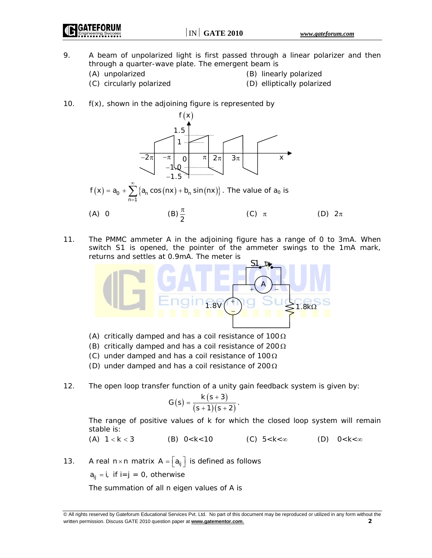- 9. A beam of unpolarized light is first passed through a linear polarizer and then through a quarter-wave plate. The emergent beam is
	-
	- (A) unpolarized (B) linearly polarized
	- (C) circularly polarized (D) elliptically polarized
- 
- 10. f(x), shown in the adjoining figure is represented by



11. The PMMC ammeter A in the adjoining figure has a range of 0 to 3mA. When switch S1 is opened, the pointer of the ammeter swings to the 1mA mark, returns and settles at 0.9mA. The meter is



- (A) critically damped and has a coil resistance of  $100 \Omega$
- (B) critically damped and has a coil resistance of 200  $\Omega$
- (C) under damped and has a coil resistance of 100Ω
- (D) under damped and has a coil resistance of 200Ω
- 12. The open loop transfer function of a unity gain feedback system is given by:

$$
G(s) = \frac{k (s + 3)}{(s + 1)(s + 2)}.
$$

 The range of positive values of k for which the closed loop system will remain stable is:

(A) 
$$
1 < k < 3
$$
 \t\t (B)  $0 < k < 10$  \t\t (C)  $5 < k < \infty$  \t\t (D)  $0 < k < \infty$ 

13. A real n × n matrix  $A = \begin{bmatrix} a_{ij} \end{bmatrix}$  is defined as follows

 $a_{ij} = i$ , if  $i=j = 0$ , otherwise

The summation of all n eigen values of A is

<sup>©</sup> All rights reserved by Gateforum Educational Services Pvt. Ltd. No part of this document may be reproduced or utilized in any form without the written permission. Discuss GATE 2010 question paper at **www.gatementor.com**. **2**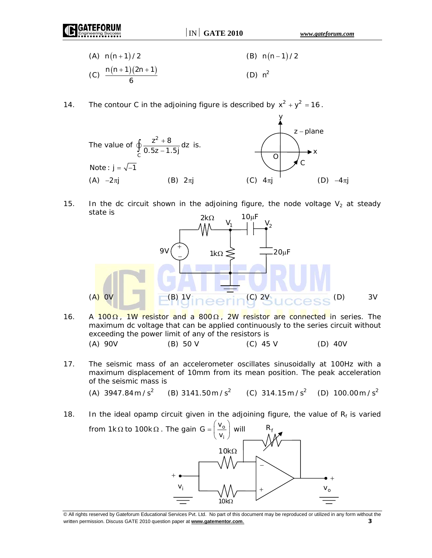| (A) $n(n+1)/2$               | (B) $n(n-1)/2$ |
|------------------------------|----------------|
| (C) $\frac{n(n+1)(2n+1)}{2}$ | $(D)$ $n^2$    |

14. The contour C in the adjoining figure is described by  $x^2 + y^2 = 16$ .



15. In the dc circuit shown in the adjoining figure, the node voltage  $V_2$  at steady state is



- 16. A 100 $Ω$ , 1W resistor and a 800 $Ω$ , 2W resistor are connected in series. The maximum dc voltage that can be applied continuously to the series circuit without exceeding the power limit of any of the resistors is (A) 90V (B) 50 V (C) 45 V (D) 40V
- 17. The seismic mass of an accelerometer oscillates sinusoidally at 100Hz with a maximum displacement of 10mm from its mean position. The peak acceleration of the seismic mass is

(A)  $3947.84 \text{ m/s}^2$  (B)  $3141.50 \text{ m/s}^2$  (C)  $314.15 \text{ m/s}^2$  (D)  $100.00 \text{ m/s}^2$ 

18. In the ideal opamp circuit given in the adjoining figure, the value of  $R_f$  is varied from 1kΩ to 100kΩ. The gain G =  $\frac{v_{\text{o}}}{2}$  $R_f$ 



<sup>©</sup> All rights reserved by Gateforum Educational Services Pvt. Ltd. No part of this document may be reproduced or utilized in any form without the written permission. Discuss GATE 2010 question paper at **www.gatementor.com**. **3**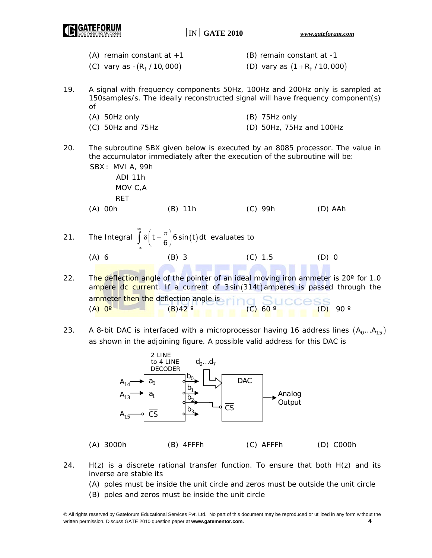|     |                                                              | $IN$ GATE 2010                                                                                                                                                             |                                                               | www.gateforum.com    |
|-----|--------------------------------------------------------------|----------------------------------------------------------------------------------------------------------------------------------------------------------------------------|---------------------------------------------------------------|----------------------|
|     | (A) remain constant at $+1$<br>(C) vary as $-(R_f / 10,000)$ |                                                                                                                                                                            | (B) remain constant at -1<br>(D) vary as $(1 + R_f / 10,000)$ |                      |
| 19. | οf                                                           | A signal with frequency components 50Hz, 100Hz and 200Hz only is sampled at<br>150samples/s. The ideally reconstructed signal will have frequency component(s)             |                                                               |                      |
|     | (A) 50Hz only                                                |                                                                                                                                                                            | (B) 75Hz only                                                 |                      |
|     | $(C)$ 50Hz and 75Hz                                          |                                                                                                                                                                            | (D) 50Hz, 75Hz and 100Hz                                      |                      |
| 20. | SBX: MVI A, 99h<br>ADI 11h<br>MOV C, A<br><b>RET</b>         | The subroutine SBX given below is executed by an 8085 processor. The value in<br>the accumulator immediately after the execution of the subroutine will be:                |                                                               |                      |
|     | $(A)$ 00h                                                    | $(B)$ 11h                                                                                                                                                                  | (C) 99h                                                       | (D) AAh              |
| 21. |                                                              | The Integral $\int_{a}^{\infty} \delta\left(t - \frac{\pi}{6}\right) 6 \sin(t) dt$ evaluates to                                                                            |                                                               |                      |
|     | $(A)$ 6                                                      | $(B)$ 3                                                                                                                                                                    | (C) 1.5                                                       | $(D)$ 0              |
| 22. | ammeter then the deflection angle is                         | The deflection angle of the pointer of an ideal moving iron ammeter is $20^{\circ}$ for 1.0<br>ampere dc current. If a current of 3sin(314t) amperes is passed through the |                                                               |                      |
|     | $(A) 0^\circ$                                                | $(B)$ 42 $^{\circ}$                                                                                                                                                        | $(C)$ 60 $^{\circ}$                                           | 90 $^{\circ}$<br>(D) |

23. A 8-bit DAC is interfaced with a microprocessor having 16 address lines  $(A_0...A_{15})$ as shown in the adjoining figure. A possible valid address for this DAC is



- 24.  $H(z)$  is a discrete rational transfer function. To ensure that both  $H(z)$  and its inverse are stable its
	- (A) poles must be inside the unit circle and zeros must be outside the unit circle
	- (B) poles and zeros must be inside the unit circle

<sup>©</sup> All rights reserved by Gateforum Educational Services Pvt. Ltd. No part of this document may be reproduced or utilized in any form without the written permission. Discuss GATE 2010 question paper at **www.gatementor.com**. **4**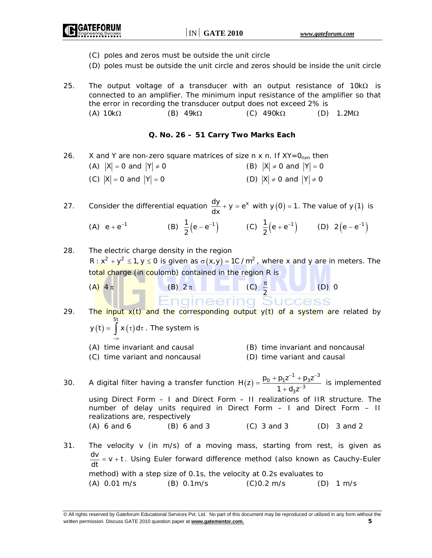- (C) poles and zeros must be outside the unit circle
- (D) poles must be outside the unit circle and zeros should be inside the unit circle
- 25. The output voltage of a transducer with an output resistance of 10k $\Omega$  is connected to an amplifier. The minimum input resistance of the amplifier so that the error in recording the transducer output does not exceed 2% is (A)  $10k\Omega$  (B)  $49k\Omega$  (C)  $490k\Omega$  (D)  $1.2M\Omega$

# **Q. No. 26 – 51 Carry Two Marks Each**

26. X and Y are non-zero square matrices of size n x n. If  $XY=0_{nxn}$  then (A)  $|X| = 0$  and  $|Y| \neq 0$  (B)  $|X| \neq 0$  and  $|Y| = 0$ (C)  $|X| = 0$  and  $|Y| = 0$  (D)  $|X| \neq 0$  and  $|Y| \neq 0$ 

27. Consider the differential equation  $\frac{dy}{dx} + y = e^x$  with  $y(0) = 1$ . The value of  $y(1)$  is

(A) 
$$
e + e^{-1}
$$
 \t(B)  $\frac{1}{2}(e - e^{-1})$  \t(C)  $\frac{1}{2}(e + e^{-1})$  \t(D)  $2(e - e^{-1})$ 

28. The electric charge density in the region  $R : x^2 + y^2 \le 1, y \le 0$  is given as  $\sigma(x,y) = 1C / m^2$ , where x and y are in meters. The total charge (in coulomb) contained in the region R is

(A) 
$$
4\pi
$$
 (B)  $2\pi$  (C)  $\frac{\pi}{2}$  (D) 0  
Equation 29. The input x(t) and the corresponding output y(t) of a system are related by

$$
y(t) = \int_{-\infty}^{5t} x(\tau) d\tau
$$
. The system is

- (A) time invariant and causal (B) time invariant and noncausal
- (C) time variant and noncausal (D) time variant and causal
- 30. A digital filter having a transfer function  $H(z)$  $p_1 z^{-1} + p_3 z^{-3}$  $3^{\mathsf{Z}^{-3}}$  $H(z) = \frac{p_0 + p_1 z^{-1} + p_3 z}{2}$  $1 + d_3z$ −1 + − − −  $=\frac{p_0 + p_1 z^{-1} + p_3 z^{-3}}{1 + d_3 z^{-3}}$  is implemented using Direct Form – I and Direct Form – II realizations of IIR structure. The number of delay units required in Direct Form – I and Direct Form – II realizations are, respectively (A) 6 and 6 (B) 6 and 3 (C) 3 and 3 (D) 3 and 2 31. The velocity v (in m/s) of a moving mass, starting from rest, is given as
- $\frac{dv}{dt}$  = v + t . Using Euler forward difference method (also known as Cauchy-Euler method) with a step size of 0.1s, the velocity at 0.2s evaluates to (A) 0.01 m/s (B) 0.1m/s (C)0.2 m/s (D) 1 m/s

<sup>©</sup> All rights reserved by Gateforum Educational Services Pvt. Ltd. No part of this document may be reproduced or utilized in any form without the written permission. Discuss GATE 2010 question paper at **www.gatementor.com**. **5**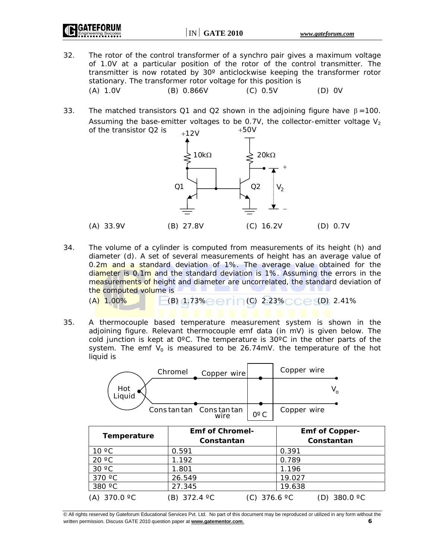$IN \sim \text{GATE } 2010$  www.gateforum.com

- 32. The rotor of the control transformer of a synchro pair gives a maximum voltage of 1.0V at a particular position of the rotor of the control transmitter. The transmitter is now rotated by 30º anticlockwise keeping the transformer rotor stationary. The transformer rotor voltage for this position is (A) 1.0V (B) 0.866V (C) 0.5V (D) 0V
- 33. The matched transistors Q1 and Q2 shown in the adjoining figure have  $\beta = 100$ . Assuming the base-emitter voltages to be 0.7V, the collector-emitter voltage  $V_2$ of the transistor Q2 is  $+12V$   $+50V$



34. The volume of a cylinder is computed from measurements of its height (h) and diameter (d). A set of several measurements of height has an average value of 0.2m and a standard deviation of 1%. The average value obtained for the diameter is 0.1m and the standard deviation is 1%. Assuming the errors in the measurements of height and diameter are uncorrelated, the standard deviation of the computed volume is

 $(A)$  1.00% (B) 1.73% (C) 2.23% (Ce (D) 2.41%

35. A thermocouple based temperature measurement system is shown in the adjoining figure. Relevant thermocouple emf data (in mV) is given below. The cold junction is kept at 0ºC. The temperature is 30ºC in the other parts of the system. The emf  $V_0$  is measured to be 26.74mV. the temperature of the hot liquid is



| 370 $\degree$ C       | 26.549       | 19.027                 |                       |
|-----------------------|--------------|------------------------|-----------------------|
| 380 °C                | 27.345       | 19.638                 |                       |
| (A) 370.0 $\degree$ C | (B) 372.4 °C | (C) 376.6 $^{\circ}$ C | (D) 380.0 $\degree$ C |

© All rights reserved by Gateforum Educational Services Pvt. Ltd. No part of this document may be reproduced or utilized in any form without the written permission. Discuss GATE 2010 question paper at **www.gatementor.com**. **6**

 $30 °C$  1.801 1.196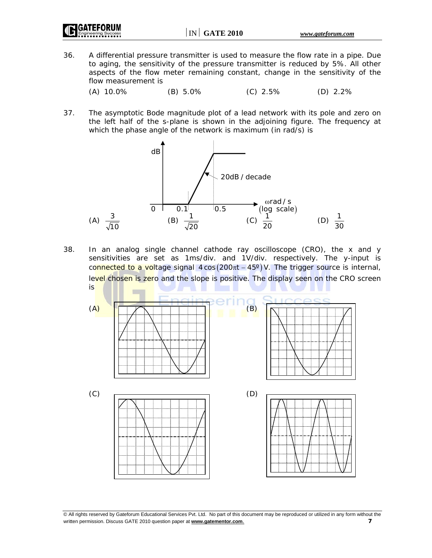- 36. A differential pressure transmitter is used to measure the flow rate in a pipe. Due to aging, the sensitivity of the pressure transmitter is reduced by 5%. All other aspects of the flow meter remaining constant, change in the sensitivity of the flow measurement is
	- (A) 10.0% (B) 5.0% (C) 2.5% (D) 2.2%
- 37. The asymptotic Bode magnitude plot of a lead network with its pole and zero on the left half of the s-plane is shown in the adjoining figure. The frequency at which the phase angle of the network is maximum (in rad/s) is



38. In an analog single channel cathode ray oscilloscope (CRO), the x and y sensitivities are set as 1ms/div. and 1V/div. respectively. The y-input is connected to a voltage signal  $4 \cos (200 \pi t - 45^\circ)$  V. The trigger source is internal, level chosen is zero and the slope is positive. The display seen on the CRO screen is

 $(A)$  (A) (B)  $(C)$  (D)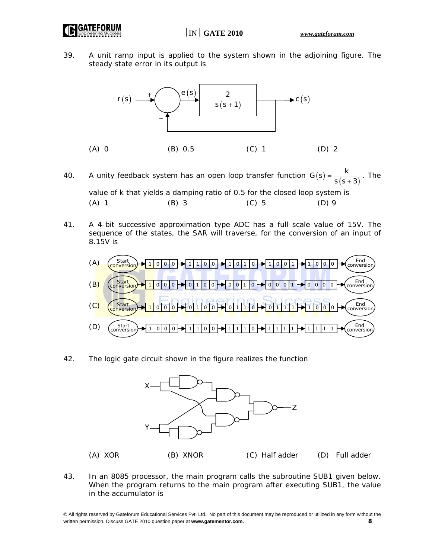GATEFORI

39. A unit ramp input is applied to the system shown in the adjoining figure. The steady state error in its output is



40. A unity feedback system has an open loop transfer function  $G(s) = \frac{k}{s(s+3)}$ . The value of k that yields a damping ratio of 0.5 for the closed loop system is (A) 1 (B) 3 (C) 5 (D) 9

41. A 4-bit successive approximation type ADC has a full scale value of 15V. The sequence of the states, the SAR will traverse, for the conversion of an input of 8.15V is



42. The logic gate circuit shown in the figure realizes the function



43. In an 8085 processor, the main program calls the subroutine SUB1 given below. When the program returns to the main program after executing SUB1, the value in the accumulator is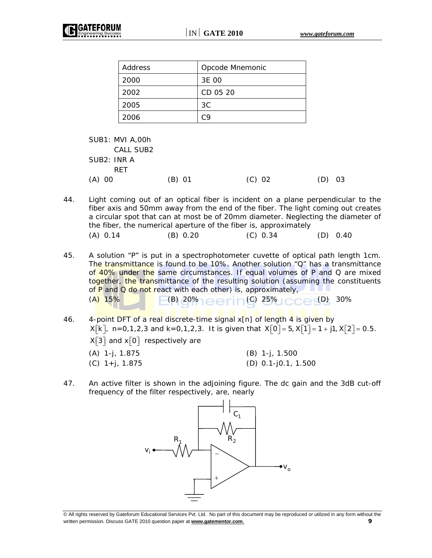| Address | Opcode Mnemonic |
|---------|-----------------|
| 2000    | 3E 00           |
| 2002    | CD 05 20        |
| 2005    | ЗC              |
| 2006    | rд              |

 SUB1: MVI A,00h CALL SUB2 SUB2: INR A **RFT** (A) 00 (B) 01 (C) 02 (D) 03

44. Light coming out of an optical fiber is incident on a plane perpendicular to the fiber axis and 50mm away from the end of the fiber. The light coming out creates a circular spot that can at most be of 20mm diameter. Neglecting the diameter of the fiber, the numerical aperture of the fiber is, approximately (A) 0.14 (B) 0.20 (C) 0.34 (D) 0.40

- 45. A solution "P" is put in a spectrophotometer cuvette of optical path length 1cm. The transmittance is found to be 10%. Another solution "Q" has a transmittance of 40% under the same circumstances. If equal volumes of P and Q are mixed together, the transmittance of the resulting solution (assuming the constituents of P and  $Q$  do not react with each other) is, approximately,  $(A)$  15% (B) 20% eerin (C) 25% (C) 30%
- 46. 4-point DFT of a real discrete-time signal x[n] of length 4 is given by  $X[k]$ , n=0,1,2,3 and k=0,1,2,3. It is given that  $X[0] = 5$ ,  $X[1] = 1 + j1$ ,  $X[2] = 0.5$ .  $X[3]$  and  $X[0]$  respectively are (A) 1-j, 1.875 (B) 1-j, 1.500 (C)  $1+j$ , 1.875 (D) 0.1-j0.1, 1.500
- 47. An active filter is shown in the adjoining figure. The dc gain and the 3dB cut-off frequency of the filter respectively, are, nearly



<sup>©</sup> All rights reserved by Gateforum Educational Services Pvt. Ltd. No part of this document may be reproduced or utilized in any form without the written permission. Discuss GATE 2010 question paper at **www.gatementor.com**. **9**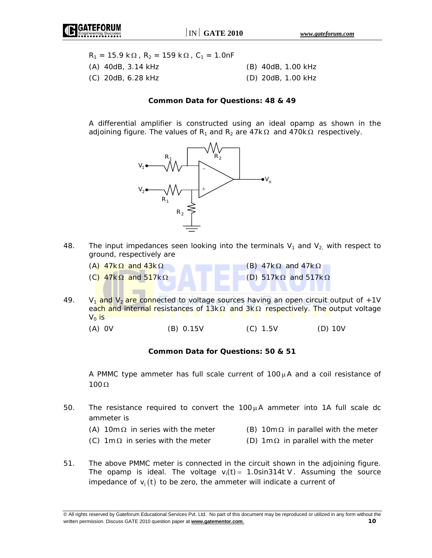

| $R_1 = 15.9 \text{ k}\Omega$ , $R_2 = 159 \text{ k}\Omega$ , $C_1 = 1.0$ nF |                    |
|-----------------------------------------------------------------------------|--------------------|
| $(A)$ 40dB, 3.14 kHz                                                        | (B) 40dB, 1.00 kHz |
| (C) 20dB, 6.28 kHz                                                          | (D) 20dB, 1.00 kHz |

## **Common Data for Questions: 48 & 49**

 A differential amplifier is constructed using an ideal opamp as shown in the adjoining figure. The values of R<sub>1</sub> and R<sub>2</sub> are 47k Ω and 470k Ω respectively.



48. The input impedances seen looking into the terminals  $V_1$  and  $V_2$ , with respect to ground, respectively are

| (A) $47k\Omega$ and $43k\Omega$  | (B) $47k\Omega$ and $47k\Omega$   |
|----------------------------------|-----------------------------------|
| (C) $47k\Omega$ and $517k\Omega$ | (D) $517k\Omega$ and $517k\Omega$ |
|                                  |                                   |

49. V<sub>1</sub> and V<sub>2</sub> are connected to voltage sources having an open circuit output of  $+1$ V each and internal resistances of 13kΩ and 3kΩ respectively. The output voltage  $V_0$  is

(A) 0V (B) 0.15V (C) 1.5V (D) 10V

#### **Common Data for Questions: 50 & 51**

A PMMC type ammeter has full scale current of  $100\mu$ A and a coil resistance of 100 Ω

- 50. The resistance required to convert the  $100\mu$ A ammeter into 1A full scale dc ammeter is
	- (A) 10m  $\Omega$  in series with the meter (B) 10m  $\Omega$  in parallel with the meter
		-
	- (C)  $1 \text{m}\Omega$  in series with the meter (D)  $1 \text{m}\Omega$  in parallel with the meter
- 51. The above PMMC meter is connected in the circuit shown in the adjoining figure. The opamp is ideal. The voltage  $v_i(t) = 1.0$ sin314t V. Assuming the source impedance of  $v_i(t)$  to be zero, the ammeter will indicate a current of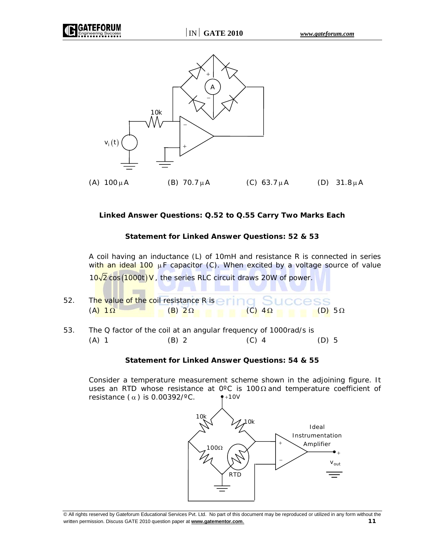

(A)  $100\mu$ A (B)  $70.7\mu$ A (C)  $63.7\mu$ A (D)  $31.8\mu$ A

# **Linked Answer Questions: Q.52 to Q.55 Carry Two Marks Each**

## **Statement for Linked Answer Questions: 52 & 53**

 A coil having an inductance (L) of 10mH and resistance R is connected in series with an ideal 100  $\mu$ F capacitor (C). When excited by a voltage source of value

- $10\sqrt{2}$  cos (1000t) V, the series RLC circuit draws 20W of power. 52. The value of the coil resistance R is e  $(A)$  1 Ω (B) 2 Ω (C) 4 Ω (C) 1 Ω (D) 5 Ω
- 53. The Q factor of the coil at an angular frequency of 1000rad/s is (A) 1 (B) 2 (C) 4 (D) 5

## **Statement for Linked Answer Questions: 54 & 55**

 Consider a temperature measurement scheme shown in the adjoining figure. It uses an RTD whose resistance at 0 $\degree$ C is 100  $\Omega$  and temperature coefficient of resistance  $(\alpha)$  is 0.00392/°C.  $+10V$ 

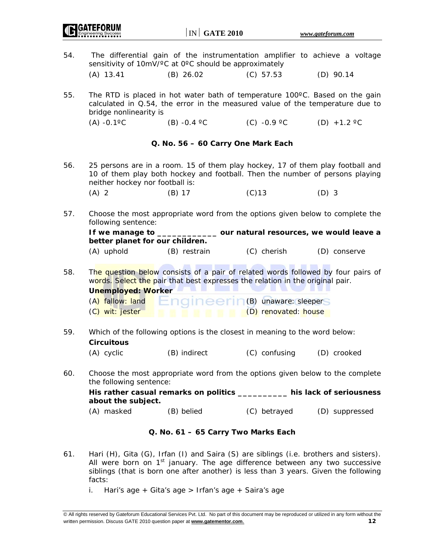$\vert$  IN  $\vert$  **GATE 2010** *www.gateforum.com* 54. The differential gain of the instrumentation amplifier to achieve a voltage sensitivity of 10mV/°C at 0°C should be approximately (A) 13.41 (B) 26.02 (C) 57.53 (D) 90.14 55. The RTD is placed in hot water bath of temperature 100ºC. Based on the gain calculated in Q.54, the error in the measured value of the temperature due to bridge nonlinearity is (A) -0.1 <sup>o</sup>C (B) -0.4 <sup>o</sup>C (C) -0.9 <sup>o</sup>C (D) +1.2 <sup>o</sup>C **Q. No. 56 – 60 Carry One Mark Each**  56. 25 persons are in a room. 15 of them play hockey, 17 of them play football and 10 of them play both hockey and football. Then the number of persons playing neither hockey nor football is: (A) 2 (B) 17 (C)13 (D) 3 57. Choose the most appropriate word from the options given below to complete the following sentence: **If we manage to \_\_\_\_\_\_\_\_\_\_\_\_ our natural resources, we would leave a better planet for our children.**  (A) uphold (B) restrain (C) cherish (D) conserve 58. The question below consists of a pair of related words followed by four pairs of words. Select the pair that best expresses the relation in the original pair. **Unemployed: Worker**   $(A)$  fallow: land  $B \cap C \cap C \in \Gamma$  (B) unaware: sleepers (C) wit: jester (D) renovated: house 59. Which of the following options is the closest in meaning to the word below: **Circuitous**  (A) cyclic (B) indirect (C) confusing (D) crooked 60. Choose the most appropriate word from the options given below to the complete the following sentence: **His rather casual remarks on politics \_\_\_\_\_\_\_\_\_\_ his lack of seriousness about the subject.**  (A) masked (B) belied (C) betrayed (D) suppressed **Q. No. 61 – 65 Carry Two Marks Each**  61. Hari (H), Gita (G), Irfan (I) and Saira (S) are siblings (i.e. brothers and sisters).

- All were born on  $1<sup>st</sup>$  january. The age difference between any two successive siblings (that is born one after another) is less than 3 years. Given the following facts:
	- i. Hari's age + Gita's age > Irfan's age + Saira's age